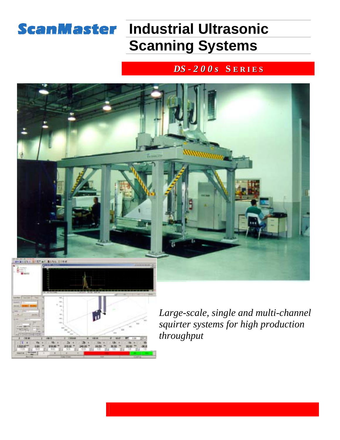# **ScanMaster Industrial Ultrasonic Scanning Systems**

#### *DS - 2 0 0 s* **S E R I E S**

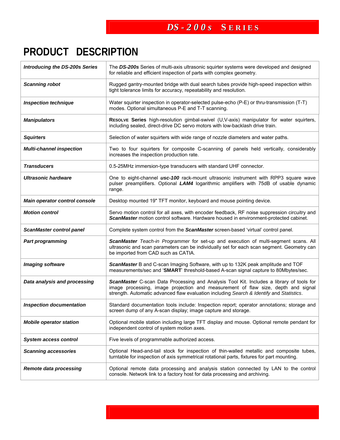### *DS - 2 0 0 s* **S E R I E S**

## **PRODUCT DESCRIPTION**

| <b>Introducing the DS-200s Series</b> | The DS-200s Series of multi-axis ultrasonic squirter systems were developed and designed<br>for reliable and efficient inspection of parts with complex geometry.                                                                                                         |  |  |  |  |
|---------------------------------------|---------------------------------------------------------------------------------------------------------------------------------------------------------------------------------------------------------------------------------------------------------------------------|--|--|--|--|
| <b>Scanning robot</b>                 | Rugged gantry-mounted bridge with dual search tubes provide high-speed inspection within<br>tight tolerance limits for accuracy, repeatability and resolution.                                                                                                            |  |  |  |  |
| <b>Inspection technique</b>           | Water squirter inspection in operator-selected pulse-echo (P-E) or thru-transmission (T-T)<br>modes. Optional simultaneous P-E and T-T scanning.                                                                                                                          |  |  |  |  |
| <b>Manipulators</b>                   | RESOLVE Series high-resolution gimbal-swivel (U,V-axis) manipulator for water squirters,<br>including sealed, direct-drive DC servo motors with low-backlash drive train.                                                                                                 |  |  |  |  |
| <b>Squirters</b>                      | Selection of water squirters with wide range of nozzle diameters and water paths.                                                                                                                                                                                         |  |  |  |  |
| <b>Multi-channel inspection</b>       | Two to four squirters for composite C-scanning of panels held vertically, considerably<br>increases the inspection production rate.                                                                                                                                       |  |  |  |  |
| <b>Transducers</b>                    | 0.5-25MHz immersion-type transducers with standard UHF connector.                                                                                                                                                                                                         |  |  |  |  |
| <b>Ultrasonic hardware</b>            | One to eight-channel usc-100 rack-mount ultrasonic instrument with RPP3 square wave<br>pulser preamplifiers. Optional LAM4 logarithmic amplifiers with 75dB of usable dynamic<br>range.                                                                                   |  |  |  |  |
| Main operator control console         | Desktop mounted 19" TFT monitor, keyboard and mouse pointing device.                                                                                                                                                                                                      |  |  |  |  |
| <b>Motion control</b>                 | Servo motion control for all axes, with encoder feedback, RF noise suppression circuitry and<br>ScanMaster motion control software. Hardware housed in environment-protected cabinet.                                                                                     |  |  |  |  |
| <b>ScanMaster control panel</b>       | Complete system control from the ScanMaster screen-based 'virtual' control panel.                                                                                                                                                                                         |  |  |  |  |
| <b>Part programming</b>               | ScanMaster Teach-in Programmer for set-up and execution of multi-segment scans. All<br>ultrasonic and scan parameters can be individually set for each scan segment. Geometry can<br>be imported from CAD such as CATIA.                                                  |  |  |  |  |
| Imaging software                      | ScanMaster B and C-scan Imaging Software, with up to 132K peak amplitude and TOF<br>measurements/sec and 'SMART' threshold-based A-scan signal capture to 80Mbytes/sec.                                                                                                   |  |  |  |  |
| Data analysis and processing          | ScanMaster C-scan Data Processing and Analysis Tool Kit. Includes a library of tools for<br>image processing, image projection and measurement of flaw size, depth and signal<br>strength. Automatic advanced flaw evaluation including Search & Identify and Statistics. |  |  |  |  |
| <b>Inspection documentation</b>       | Standard documentation tools include: Inspection report; operator annotations; storage and<br>screen dump of any A-scan display; image capture and storage.                                                                                                               |  |  |  |  |
| <b>Mobile operator station</b>        | Optional mobile station including large TFT display and mouse. Optional remote pendant for<br>independent control of system motion axes.                                                                                                                                  |  |  |  |  |
| <b>System access control</b>          | Five levels of programmable authorized access.                                                                                                                                                                                                                            |  |  |  |  |
| <b>Scanning accessories</b>           | Optional Head-and-tail stock for inspection of thin-walled metallic and composite tubes,<br>turntable for inspection of axis symmetrical rotational parts, fixtures for part mounting.                                                                                    |  |  |  |  |
| <b>Remote data processing</b>         | Optional remote data processing and analysis station connected by LAN to the control<br>console. Network link to a factory host for data processing and archiving.                                                                                                        |  |  |  |  |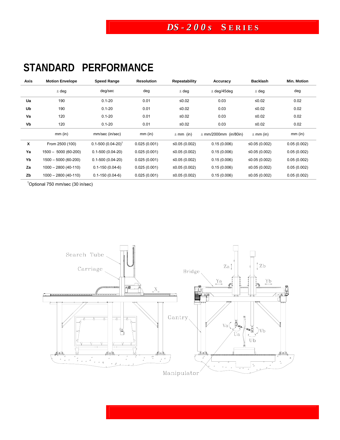#### *DS - 2 0 0 s* **S E R I E S**

# **STANDARD PERFORMANCE**

| Axis | <b>Motion Envelope</b> | Speed Range               | <b>Resolution</b> | <b>Repeatability</b> | Accuracy                  | <b>Backlash</b> | <b>Min. Motion</b> |
|------|------------------------|---------------------------|-------------------|----------------------|---------------------------|-----------------|--------------------|
|      | $±$ deg                | deg/sec                   | deg               | $±$ deg              | $±$ deg/45deg             | $±$ deg         | deg                |
| Ua   | 190                    | $0.1 - 20$                | 0.01              | $≤0.02$              | 0.03                      | $≤0.02$         | 0.02               |
| Ub   | 190                    | $0.1 - 20$                | 0.01              | $≤0.02$              | 0.03                      | ≤ $0.02$        | 0.02               |
| Va   | 120                    | $0.1 - 20$                | 0.01              | ≤ $0.02$             | 0.03                      | $≤0.02$         | 0.02               |
| Vb   | 120                    | $0.1 - 20$                | 0.01              | ≤0.02                | 0.03                      | ≤ $0.02$        | 0.02               |
|      | $mm$ (in)              | mm/sec (in/sec)           | $mm$ (in)         | $\pm$ mm (in)        | $\pm$ mm/2000mm (in/80in) | $\pm$ mm (in)   | $mm$ (in)          |
| X    | From 2500 (100)        | $0.1 - 500 (0.04 - 20)^T$ | 0.025(0.001)      | ≤0.05 (0.002)        | 0.15(0.006)               | ≤0.05 $(0.002)$ | 0.05(0.002)        |
| Ya   | $1500 - 5000(60-200)$  | $0.1 - 500(0.04 - 20)$    | 0.025(0.001)      | ≤0.05 $(0.002)$      | 0.15(0.006)               | ≤0.05 (0.002)   | 0.05(0.002)        |
| Yb   | 1500 - 5000 (60-200)   | $0.1 - 500(0.04 - 20)$    | 0.025(0.001)      | ≤0.05 (0.002)        | 0.15(0.006)               | ≤0.05 (0.002)   | 0.05(0.002)        |
| Za   | 1000 - 2800 (40-110)   | $0.1 - 150(0.04 - 6)$     | 0.025(0.001)      | ≤0.05 $(0.002)$      | 0.15(0.006)               | ≤0.05 (0.002)   | 0.05(0.002)        |
| Zb   | 1000 - 2800 (40-110)   | $0.1 - 150(0.04 - 6)$     | 0.025(0.001)      | ≤0.05 $(0.002)$      | 0.15(0.006)               | ≤0.05 $(0.002)$ | 0.05(0.002)        |

<sup>1</sup>Optional 750 mm/sec (30 in/sec)